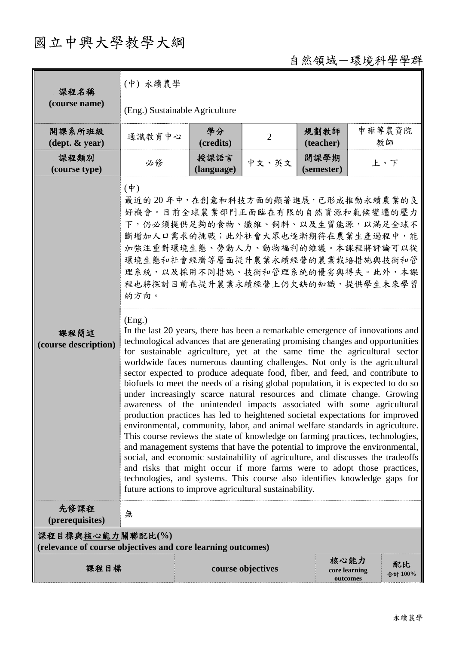## 國立中興大學教學大綱

自然領域-環境科學學群

| 課程名稱                                                                            | (中) 永續農學                                                                                                                                                                                                                                                                                                                                                                                                                                                                                                                                                                                                                                                                                                                                                                                                                                                                                                                                                                                                                                                                                                                                                                                                                                                                                                                                                                                                                                                                                                                                                                                                                    |                    |                   |                       |          |               |  |  |  |
|---------------------------------------------------------------------------------|-----------------------------------------------------------------------------------------------------------------------------------------------------------------------------------------------------------------------------------------------------------------------------------------------------------------------------------------------------------------------------------------------------------------------------------------------------------------------------------------------------------------------------------------------------------------------------------------------------------------------------------------------------------------------------------------------------------------------------------------------------------------------------------------------------------------------------------------------------------------------------------------------------------------------------------------------------------------------------------------------------------------------------------------------------------------------------------------------------------------------------------------------------------------------------------------------------------------------------------------------------------------------------------------------------------------------------------------------------------------------------------------------------------------------------------------------------------------------------------------------------------------------------------------------------------------------------------------------------------------------------|--------------------|-------------------|-----------------------|----------|---------------|--|--|--|
| (course name)                                                                   | (Eng.) Sustainable Agriculture                                                                                                                                                                                                                                                                                                                                                                                                                                                                                                                                                                                                                                                                                                                                                                                                                                                                                                                                                                                                                                                                                                                                                                                                                                                                                                                                                                                                                                                                                                                                                                                              |                    |                   |                       |          |               |  |  |  |
| 開課系所班級<br>$(\text{dept.} \& \text{ year})$                                      | 通識教育中心                                                                                                                                                                                                                                                                                                                                                                                                                                                                                                                                                                                                                                                                                                                                                                                                                                                                                                                                                                                                                                                                                                                                                                                                                                                                                                                                                                                                                                                                                                                                                                                                                      | 學分<br>(credits)    | $\overline{2}$    | 規劃教師<br>(teacher)     |          | 申雍等農資院<br>教師  |  |  |  |
| 課程類別<br>(course type)                                                           | 必修                                                                                                                                                                                                                                                                                                                                                                                                                                                                                                                                                                                                                                                                                                                                                                                                                                                                                                                                                                                                                                                                                                                                                                                                                                                                                                                                                                                                                                                                                                                                                                                                                          | 授課語言<br>(language) | 中文、英文             | 開課學期<br>(semester)    |          | 上、下           |  |  |  |
| 課程簡述<br>(course description)                                                    | $(\phi)$<br>最近的20年中,在創意和科技方面的顯著進展,已形成推動永續農業的良<br>好機會。目前全球農業部門正面臨在有限的自然資源和氣候變遷的壓力<br>下,仍必須提供足夠的食物、纖維、飼料、以及生質能源,以滿足全球不<br>斷增加人口需求的挑戰;此外社會大眾也逐漸期待在農業生產過程中,能<br>加強注重對環境生態、勞動人力、動物福利的維護。本課程將評論可以從<br>環境生態和社會經濟等層面提升農業永續經營的農業栽培措施與技術和管<br>理系統,以及採用不同措施、技術和管理系統的優劣與得失。此外,本課<br>程也將探討目前在提升農業永續經營上仍欠缺的知識,提供學生未來學習<br>的方向。<br>(Eng.)<br>In the last 20 years, there has been a remarkable emergence of innovations and<br>technological advances that are generating promising changes and opportunities<br>for sustainable agriculture, yet at the same time the agricultural sector<br>worldwide faces numerous daunting challenges. Not only is the agricultural<br>sector expected to produce adequate food, fiber, and feed, and contribute to<br>biofuels to meet the needs of a rising global population, it is expected to do so<br>under increasingly scarce natural resources and climate change. Growing<br>awareness of the unintended impacts associated with some agricultural<br>production practices has led to heightened societal expectations for improved<br>environmental, community, labor, and animal welfare standards in agriculture.<br>This course reviews the state of knowledge on farming practices, technologies,<br>and management systems that have the potential to improve the environmental,<br>social, and economic sustainability of agriculture, and discusses the tradeoffs<br>and risks that might occur if more farms were to adopt those practices,<br>technologies, and systems. This course also identifies knowledge gaps for<br>future actions to improve agricultural sustainability. |                    |                   |                       |          |               |  |  |  |
| 先修課程<br>(prerequisites)                                                         | 無                                                                                                                                                                                                                                                                                                                                                                                                                                                                                                                                                                                                                                                                                                                                                                                                                                                                                                                                                                                                                                                                                                                                                                                                                                                                                                                                                                                                                                                                                                                                                                                                                           |                    |                   |                       |          |               |  |  |  |
| 課程目標與核心能力關聯配比(%)<br>(relevance of course objectives and core learning outcomes) |                                                                                                                                                                                                                                                                                                                                                                                                                                                                                                                                                                                                                                                                                                                                                                                                                                                                                                                                                                                                                                                                                                                                                                                                                                                                                                                                                                                                                                                                                                                                                                                                                             |                    |                   |                       |          |               |  |  |  |
| 課程目標                                                                            |                                                                                                                                                                                                                                                                                                                                                                                                                                                                                                                                                                                                                                                                                                                                                                                                                                                                                                                                                                                                                                                                                                                                                                                                                                                                                                                                                                                                                                                                                                                                                                                                                             |                    | course objectives | 核心能力<br>core learning | outcomes | 配比<br>合計 100% |  |  |  |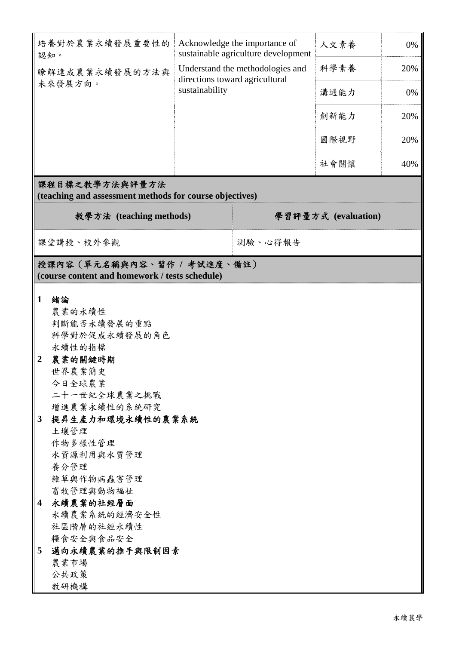| 培養對於農業永續發展重要性的<br>認知。                                                                                                                                                                                                                                                                                                                                              | Acknowledge the importance of<br>sustainable agriculture development<br>Understand the methodologies and<br>directions toward agricultural<br>sustainability |         | 人文素養 | 0%  |  |  |  |  |  |
|--------------------------------------------------------------------------------------------------------------------------------------------------------------------------------------------------------------------------------------------------------------------------------------------------------------------------------------------------------------------|--------------------------------------------------------------------------------------------------------------------------------------------------------------|---------|------|-----|--|--|--|--|--|
| 瞭解達成農業永續發展的方法與                                                                                                                                                                                                                                                                                                                                                     |                                                                                                                                                              |         | 科學素養 | 20% |  |  |  |  |  |
| 未來發展方向。                                                                                                                                                                                                                                                                                                                                                            |                                                                                                                                                              |         | 溝通能力 | 0%  |  |  |  |  |  |
|                                                                                                                                                                                                                                                                                                                                                                    |                                                                                                                                                              |         |      | 20% |  |  |  |  |  |
|                                                                                                                                                                                                                                                                                                                                                                    |                                                                                                                                                              |         | 國際視野 | 20% |  |  |  |  |  |
|                                                                                                                                                                                                                                                                                                                                                                    |                                                                                                                                                              |         | 社會關懷 | 40% |  |  |  |  |  |
| 課程目標之教學方法與評量方法<br>(teaching and assessment methods for course objectives)                                                                                                                                                                                                                                                                                          |                                                                                                                                                              |         |      |     |  |  |  |  |  |
| 教學方法 (teaching methods)                                                                                                                                                                                                                                                                                                                                            | 學習評量方式 (evaluation)                                                                                                                                          |         |      |     |  |  |  |  |  |
| 課堂講授、校外參觀                                                                                                                                                                                                                                                                                                                                                          |                                                                                                                                                              | 測驗、心得報告 |      |     |  |  |  |  |  |
| 授課內容(單元名稱與內容、習作 / 考試進度、備註)<br>(course content and homework / tests schedule)                                                                                                                                                                                                                                                                                       |                                                                                                                                                              |         |      |     |  |  |  |  |  |
| $\mathbf{1}$<br>緒論<br>農業的永續性<br>判斷能否永續發展的重點<br>科學對於促成永續發展的角色<br>永續性的指標<br>農業的關鍵時期<br>$\boldsymbol{2}$<br>世界農業簡史<br>今日全球農業<br>二十一世紀全球農業之挑戰<br>增進農業永續性的系統研究<br>提昇生產力和環境永續性的農業系統<br>3<br>土壤管理<br>作物多樣性管理<br>水資源利用與水質管理<br>養分管理<br>雜草與作物病蟲害管理<br>畜牧管理與動物福祉<br>永續農業的社經層面<br>4<br>永續農業系統的經濟安全性<br>社區階層的社經永續性<br>糧食安全與食品安全<br>邁向永續農業的推手與限制因素<br>5<br>農業市場<br>公共政策<br>教研機構 |                                                                                                                                                              |         |      |     |  |  |  |  |  |